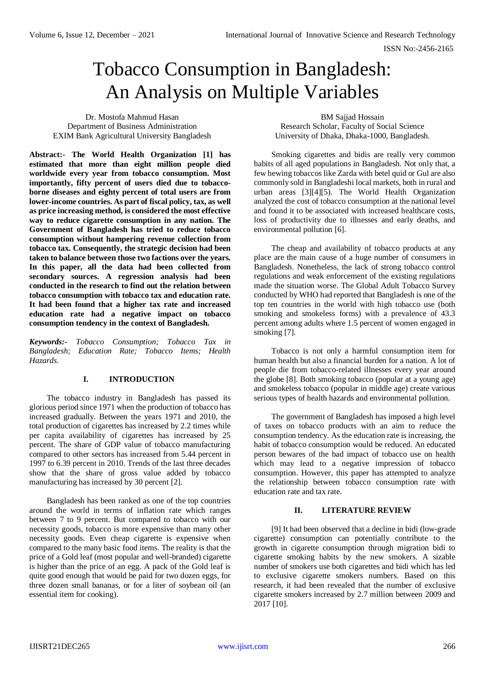# Tobacco Consumption in Bangladesh: An Analysis on Multiple Variables

Dr. Mostofa Mahmud Hasan Department of Business Administration EXIM Bank Agricultural University Bangladesh

BM Sajjad Hossain Research Scholar, Faculty of Social Science University of Dhaka, Dhaka-1000, Bangladesh.

**Abstract:- The World Health Organization [1] has estimated that more than eight million people died worldwide every year from tobacco consumption. Most importantly, fifty percent of users died due to tobaccoborne diseases and eighty percent of total users are from lower-income countries. As part of fiscal policy, tax, as well as price increasing method, is considered the most effective way to reduce cigarette consumption in any nation. The Government of Bangladesh has tried to reduce tobacco consumption without hampering revenue collection from tobacco tax. Consequently, the strategic decision had been taken to balance between those two factions over the years. In this paper, all the data had been collected from secondary sources. A regression analysis had been conducted in the research to find out the relation between tobacco consumption with tobacco tax and education rate. It had been found that a higher tax rate and increased education rate had a negative impact on tobacco consumption tendency in the context of Bangladesh.**

*Keywords:- Tobacco Consumption; Tobacco Tax in Bangladesh; Education Rate; Tobacco Items; Health Hazards.*

# **I. INTRODUCTION**

The tobacco industry in Bangladesh has passed its glorious period since 1971 when the production of tobacco has increased gradually. Between the years 1971 and 2010, the total production of cigarettes has increased by 2.2 times while per capita availability of cigarettes has increased by 25 percent. The share of GDP value of tobacco manufacturing compared to other sectors has increased from 5.44 percent in 1997 to 6.39 percent in 2010. Trends of the last three decades show that the share of gross value added by tobacco manufacturing has increased by 30 percent [2].

Bangladesh has been ranked as one of the top countries around the world in terms of inflation rate which ranges between 7 to 9 percent. But compared to tobacco with our necessity goods, tobacco is more expensive than many other necessity goods. Even cheap cigarette is expensive when compared to the many basic food items. The reality is that the price of a Gold leaf (most popular and well-branded) cigarette is higher than the price of an egg. A pack of the Gold leaf is quite good enough that would be paid for two dozen eggs, for three dozen small bananas, or for a liter of soybean oil (an essential item for cooking).

Smoking cigarettes and bidis are really very common habits of all aged populations in Bangladesh. Not only that, a few hewing tobaccos like Zarda with betel quid or Gul are also commonly sold in Bangladeshi local markets, both in rural and urban areas [3][4][5). The World Health Organization analyzed the cost of tobacco consumption at the national level and found it to be associated with increased healthcare costs, loss of productivity due to illnesses and early deaths, and environmental pollution [6].

The cheap and availability of tobacco products at any place are the main cause of a huge number of consumers in Bangladesh. Nonetheless, the lack of strong tobacco control regulations and weak enforcement of the existing regulations made the situation worse. The Global Adult Tobacco Survey conducted by WHO had reported that Bangladesh is one of the top ten countries in the world with high tobacco use (both smoking and smokeless forms) with a prevalence of 43.3 percent among adults where 1.5 percent of women engaged in smoking [7].

Tobacco is not only a harmful consumption item for human health but also a financial burden for a nation. A lot of people die from tobacco-related illnesses every year around the globe [8]. Both smoking tobacco (popular at a young age) and smokeless tobacco (popular in middle age) create various serious types of health hazards and environmental pollution.

The government of Bangladesh has imposed a high level of taxes on tobacco products with an aim to reduce the consumption tendency. As the education rate is increasing, the habit of tobacco consumption would be reduced. An educated person bewares of the bad impact of tobacco use on health which may lead to a negative impression of tobacco consumption. However, this paper has attempted to analyze the relationship between tobacco consumption rate with education rate and tax rate.

# **II. LITERATURE REVIEW**

[9] It had been observed that a decline in bidi (low-grade cigarette) consumption can potentially contribute to the growth in cigarette consumption through migration bidi to cigarette smoking habits by the new smokers. A sizable number of smokers use both cigarettes and bidi which has led to exclusive cigarette smokers numbers. Based on this research, it had been revealed that the number of exclusive cigarette smokers increased by 2.7 million between 2009 and 2017 [10].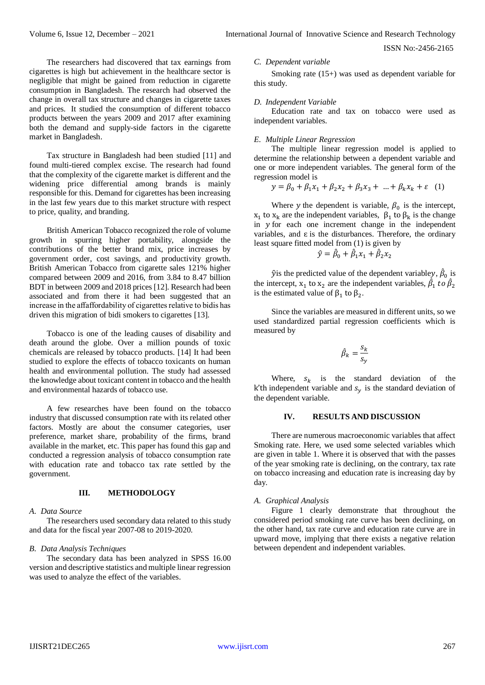ISSN No:-2456-2165

The researchers had discovered that tax earnings from cigarettes is high but achievement in the healthcare sector is negligible that might be gained from reduction in cigarette consumption in Bangladesh. The research had observed the change in overall tax structure and changes in cigarette taxes and prices. It studied the consumption of different tobacco products between the years 2009 and 2017 after examining both the demand and supply-side factors in the cigarette market in Bangladesh.

Tax structure in Bangladesh had been studied [11] and found multi-tiered complex excise. The research had found that the complexity of the cigarette market is different and the widening price differential among brands is mainly responsible for this. Demand for cigarettes has been increasing in the last few years due to this market structure with respect to price, quality, and branding.

British American Tobacco recognized the role of volume growth in spurring higher portability, alongside the contributions of the better brand mix, price increases by government order, cost savings, and productivity growth. British American Tobacco from cigarette sales 121% higher compared between 2009 and 2016, from 3.84 to 8.47 billion BDT in between 2009 and 2018 prices [12]. Research had been associated and from there it had been suggested that an increase in the affaffordability of cigarettes relative to bidis has driven this migration of bidi smokers to cigarettes [13].

Tobacco is one of the leading causes of disability and death around the globe. Over a million pounds of toxic chemicals are released by tobacco products. [14] It had been studied to explore the effects of tobacco toxicants on human health and environmental pollution. The study had assessed the knowledge about toxicant content in tobacco and the health and environmental hazards of tobacco use.

A few researches have been found on the tobacco industry that discussed consumption rate with its related other factors. Mostly are about the consumer categories, user preference, market share, probability of the firms, brand available in the market, etc. This paper has found this gap and conducted a regression analysis of tobacco consumption rate with education rate and tobacco tax rate settled by the government.

# **III. METHODOLOGY**

#### *A. Data Source*

The researchers used secondary data related to this study and data for the fiscal year 2007-08 to 2019-2020.

#### *B. Data Analysis Techniques*

The secondary data has been analyzed in SPSS 16.00 version and descriptive statistics and multiple linear regression was used to analyze the effect of the variables.

### *C. Dependent variable*

Smoking rate (15+) was used as dependent variable for this study.

#### *D. Independent Variable*

Education rate and tax on tobacco were used as independent variables.

#### *E. Multiple Linear Regression*

The multiple linear regression model is applied to determine the relationship between a dependent variable and one or more independent variables. The general form of the regression model is

$$
y = \beta_0 + \beta_1 x_1 + \beta_2 x_2 + \beta_3 x_3 + \dots + \beta_k x_k + \varepsilon \quad (1)
$$

Where y the dependent is variable,  $\beta_0$  is the intercept,  $x_1$  to  $x_k$  are the independent variables,  $\beta_1$  to  $\beta_k$  is the change in  $y$  for each one increment change in the independent variables, and  $\varepsilon$  is the disturbances. Therefore, the ordinary least square fitted model from (1) is given by

$$
\hat{y} = \hat{\beta}_0 + \hat{\beta}_1 x_1 + \hat{\beta}_2 x_2
$$

 $\hat{y}$  is the predicted value of the dependent variabley,  $\hat{\beta}_0$  is the intercept,  $x_1$  to  $x_2$  are the independent variables,  $\hat{\beta}_1$  to  $\hat{\beta}_2$ is the estimated value of  $\beta_1$  to  $\beta_2$ .

Since the variables are measured in different units, so we used standardized partial regression coefficients which is measured by

$$
\hat{\beta}_k = \frac{s_k}{s_y}
$$

Where,  $s_k$  is the standard deviation of the k'th independent variable and  $s<sub>v</sub>$  is the standard deviation of the dependent variable.

## **IV. RESULTS AND DISCUSSION**

There are numerous macroeconomic variables that affect Smoking rate. Here, we used some selected variables which are given in table 1. Where it is observed that with the passes of the year smoking rate is declining, on the contrary, tax rate on tobacco increasing and education rate is increasing day by day.

## *A. Graphical Analysis*

Figure 1 clearly demonstrate that throughout the considered period smoking rate curve has been declining, on the other hand, tax rate curve and education rate curve are in upward move, implying that there exists a negative relation between dependent and independent variables.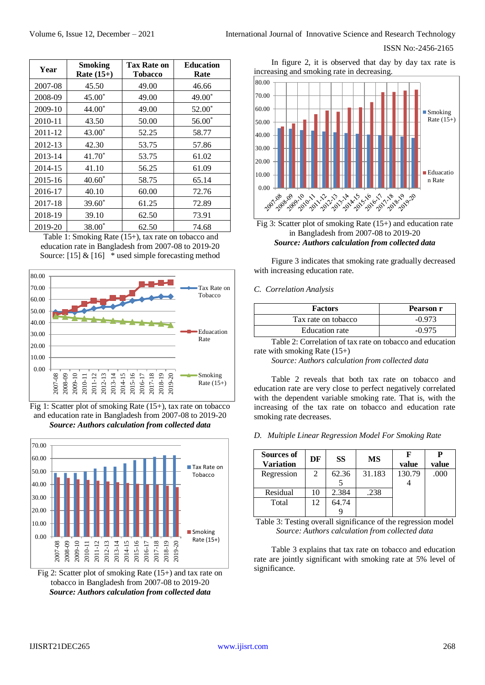## ISSN No:-2456-2165

| Year    | <b>Smoking</b><br>Rate $(15+)$ | <b>Tax Rate on</b><br><b>Tobacco</b> | <b>Education</b><br>Rate |  |
|---------|--------------------------------|--------------------------------------|--------------------------|--|
| 2007-08 | 45.50                          | 49.00                                | 46.66                    |  |
| 2008-09 | $45.00*$                       | 49.00                                | 49.00*                   |  |
| 2009-10 | $44.00*$                       | 49.00                                | 52.00*                   |  |
| 2010-11 | 43.50                          | 50.00                                | $56.00*$                 |  |
| 2011-12 | $43.00*$                       | 52.25                                | 58.77                    |  |
| 2012-13 | 42.30                          | 53.75                                | 57.86                    |  |
| 2013-14 | $41.70*$                       | 53.75                                | 61.02                    |  |
| 2014-15 | 41.10                          | 56.25                                | 61.09                    |  |
| 2015-16 | $40.60*$                       | 58.75                                | 65.14                    |  |
| 2016-17 | 40.10                          | 60.00                                | 72.76                    |  |
| 2017-18 | $39.60*$                       | 61.25                                | 72.89                    |  |
| 2018-19 | 39.10                          | 62.50                                | 73.91                    |  |
| 2019-20 | 38.00 <sup>*</sup>             | 62.50                                | 74.68                    |  |

Table 1: Smoking Rate (15+), tax rate on tobacco and education rate in Bangladesh from 2007-08 to 2019-20 Source:  $[15] & [16]$  \* used simple forecasting method



Fig 1: Scatter plot of smoking Rate (15+), tax rate on tobacco and education rate in Bangladesh from 2007-08 to 2019-20 *Source: Authors calculation from collected data*



Fig 2: Scatter plot of smoking Rate (15+) and tax rate on tobacco in Bangladesh from 2007-08 to 2019-20 *Source: Authors calculation from collected data*

In figure 2, it is observed that day by day tax rate is increasing and smoking rate in decreasing.



Fig 3: Scatter plot of smoking Rate (15+) and education rate in Bangladesh from 2007-08 to 2019-20 *Source: Authors calculation from collected data*

Figure 3 indicates that smoking rate gradually decreased with increasing education rate.

## *C. Correlation Analysis*

| <b>Factors</b>        | Pearson r |  |  |
|-----------------------|-----------|--|--|
| Tax rate on tobacco   | $-0.973$  |  |  |
| <b>Education</b> rate | $-0.975$  |  |  |

Table 2: Correlation of tax rate on tobacco and education rate with smoking Rate (15+)

*Source: Authors calculation from collected data*

Table 2 reveals that both tax rate on tobacco and education rate are very close to perfect negatively correlated with the dependent variable smoking rate. That is, with the increasing of the tax rate on tobacco and education rate smoking rate decreases.

*D. Multiple Linear Regression Model For Smoking Rate*

| Sources of<br><b>Variation</b> | DF | <b>SS</b> | <b>MS</b> | value  | value |
|--------------------------------|----|-----------|-----------|--------|-------|
| Regression                     | 2  | 62.36     | 31.183    | 130.79 | .000  |
|                                |    |           |           |        |       |
| Residual                       | 10 | 2.384     | .238      |        |       |
| Total                          | 12 | 64.74     |           |        |       |
|                                |    |           |           |        |       |

Table 3: Testing overall significance of the regression model *Source: Authors calculation from collected data*

Table 3 explains that tax rate on tobacco and education rate are jointly significant with smoking rate at 5% level of significance.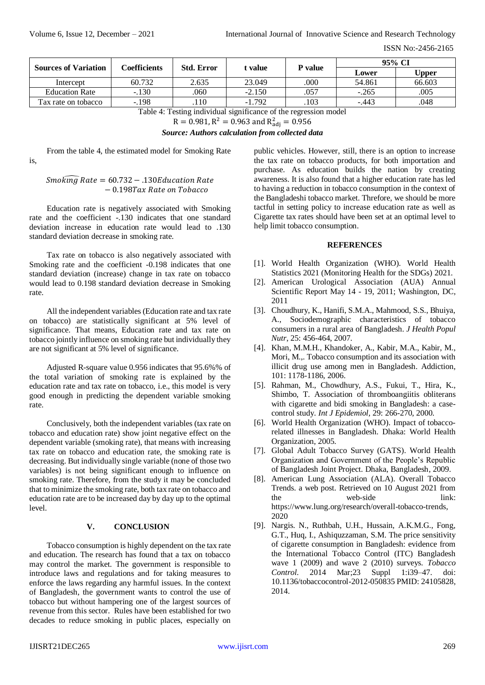is,

ISSN No:-2456-2165

| <b>Sources of Variation</b>                                      | Coefficients | <b>Std. Error</b> | t value  | <b>P</b> value | 95% CI   |        |
|------------------------------------------------------------------|--------------|-------------------|----------|----------------|----------|--------|
|                                                                  |              |                   |          |                | Lower    | Upper  |
| Intercept                                                        | 60.732       | 2.635             | 23.049   | .000           | 54.861   | 66.603 |
| <b>Education Rate</b>                                            | $-.130$      | .060              | $-2.150$ | .057           | $-.265$  | .005   |
| Tax rate on tobacco                                              | $-.198$      | 110               | $-1.792$ | .103           | $-0.443$ | .048   |
| Table 4: Testing individual significance of the regression model |              |                   |          |                |          |        |

 $R = 0.981, R^2 = 0.963$  and  $R^2_{\text{adj}} = 0.956$ 

*Source: Authors calculation from collected data*

From the table 4, the estimated model for Smoking Rate

 $Smoking$  Rate = 60.732 – .130Education Rate − 0.198

Education rate is negatively associated with Smoking rate and the coefficient -.130 indicates that one standard deviation increase in education rate would lead to .130 standard deviation decrease in smoking rate.

Tax rate on tobacco is also negatively associated with Smoking rate and the coefficient -0.198 indicates that one standard deviation (increase) change in tax rate on tobacco would lead to 0.198 standard deviation decrease in Smoking rate.

All the independent variables (Education rate and tax rate on tobacco) are statistically significant at 5% level of significance. That means, Education rate and tax rate on tobacco jointly influence on smoking rate but individually they are not significant at 5% level of significance.

Adjusted R-square value 0.956 indicates that 95.6%% of the total variation of smoking rate is explained by the education rate and tax rate on tobacco, i.e., this model is very good enough in predicting the dependent variable smoking rate.

Conclusively, both the independent variables (tax rate on tobacco and education rate) show joint negative effect on the dependent variable (smoking rate), that means with increasing tax rate on tobacco and education rate, the smoking rate is decreasing. But individually single variable (none of those two variables) is not being significant enough to influence on smoking rate. Therefore, from the study it may be concluded that to minimize the smoking rate, both tax rate on tobacco and education rate are to be increased day by day up to the optimal level.

# **V. CONCLUSION**

Tobacco consumption is highly dependent on the tax rate and education. The research has found that a tax on tobacco may control the market. The government is responsible to introduce laws and regulations and for taking measures to enforce the laws regarding any harmful issues. In the context of Bangladesh, the government wants to control the use of tobacco but without hampering one of the largest sources of revenue from this sector. Rules have been established for two decades to reduce smoking in public places, especially on

public vehicles. However, still, there is an option to increase the tax rate on tobacco products, for both importation and purchase. As education builds the nation by creating awareness. It is also found that a higher education rate has led to having a reduction in tobacco consumption in the context of the Bangladeshi tobacco market. Threfore, we should be more tactful in setting policy to increase education rate as well as Cigarette tax rates should have been set at an optimal level to help limit tobacco consumption.

# **REFERENCES**

- [1]. World Health Organization (WHO). World Health Statistics 2021 (Monitoring Health for the SDGs) 2021.
- [2]. American Urological Association (AUA) Annual Scientific Report May 14 - 19, 2011; Washington, DC, 2011
- [3]. Choudhury, K., Hanifi, S.M.A., Mahmood, S.S., Bhuiya, A., Sociodemographic characteristics of tobacco consumers in a rural area of Bangladesh. *J Health Popul Nutr*, 25: 456-464, 2007.
- [4]. Khan, M.M.H., Khandoker, A., Kabir, M.A., Kabir, M., Mori, M.,. Tobacco consumption and its association with illicit drug use among men in Bangladesh. Addiction, 101: 1178-1186, 2006.
- [5]. Rahman, M., Chowdhury, A.S., Fukui, T., Hira, K., Shimbo, T. Association of thromboangiitis obliterans with cigarette and bidi smoking in Bangladesh: a casecontrol study. *Int J Epidemiol,* 29: 266-270, 2000.
- [6]. World Health Organization (WHO). Impact of tobaccorelated illnesses in Bangladesh. Dhaka: World Health Organization, 2005.
- [7]. Global Adult Tobacco Survey (GATS). World Health Organization and Government of the People's Republic of Bangladesh Joint Project. Dhaka, Bangladesh, 2009.
- [8]. American Lung Association (ALA). Overall Tobacco Trends. a web post. Retrieved on 10 August 2021 from the web-side link: [https://www.lung.org/research/overall-tobacco-trends,](https://www.lung.org/research/overall-tobacco-trends) 2020
- [9]. Nargis. N., Ruthbah, U.H., Hussain, A.K.M.G., Fong, G.T., Huq, I., Ashiquzzaman, S.M. The price sensitivity of cigarette consumption in Bangladesh: evidence from the International Tobacco Control (ITC) Bangladesh wave 1 (2009) and wave 2 (2010) surveys. *Tobacco Control*. 2014 Mar;23 Suppl 1:i39–47. doi: 10.1136/tobaccocontrol-2012-050835 PMID: 24105828, 2014.